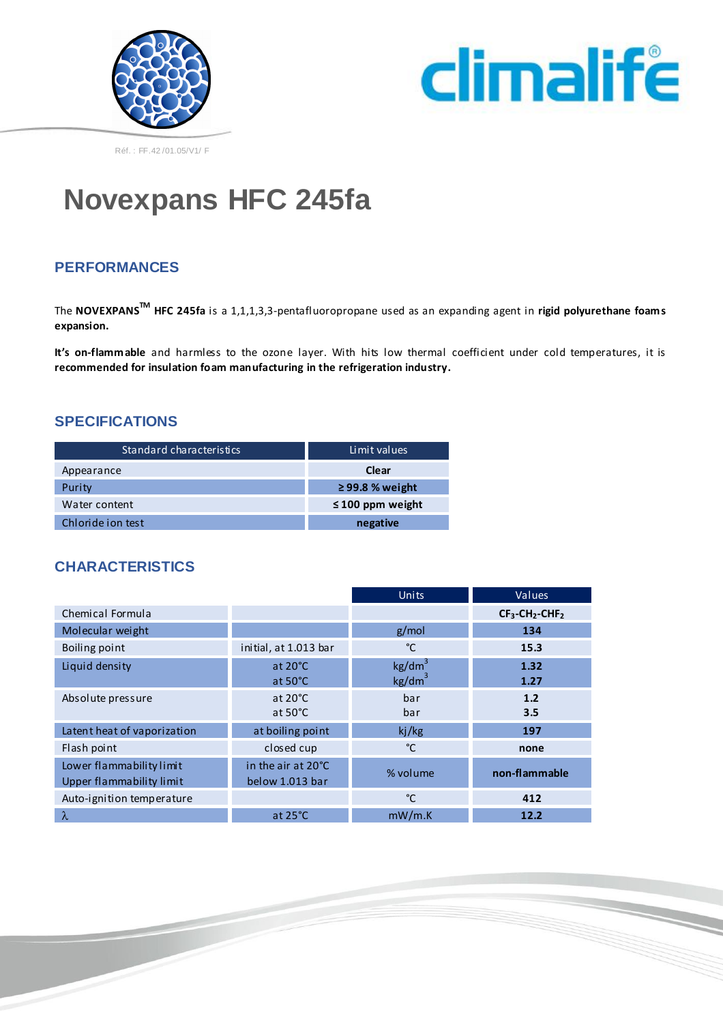



# **Novexpans HFC 245fa**

### **PERFORMANCES**

The **NOVEXPANSTM HFC 245fa** is a 1,1,1,3,3-pentafluoropropane used as an expanding agent in **rigid polyurethane foams expansion.**

**It's on-flammable** and harmless to the ozone layer. With hits low thermal coefficient under cold temperatures, it is **recommended for insulation foam manufacturing in the refrigeration industry.**

#### **SPECIFICATIONS**

| Standard characteristics | Limit values          |
|--------------------------|-----------------------|
| Appearance               | Clear                 |
| Purity                   | $\geq$ 99.8 % weight  |
| Water content            | $\leq$ 100 ppm weight |
| Chloride ion test        | negative              |

#### **CHARACTERISTICS**

|                                                      |                                        | <b>Units</b>                             | Values                                    |
|------------------------------------------------------|----------------------------------------|------------------------------------------|-------------------------------------------|
| Chemical Formula                                     |                                        |                                          | $CF_3$ -CH <sub>2</sub> -CHF <sub>2</sub> |
| Molecular weight                                     |                                        | g/mol                                    | 134                                       |
| Boiling point                                        | initial, at 1.013 bar                  | °C                                       | 15.3                                      |
| Liquid density                                       | at $20^{\circ}$ C<br>at $50^{\circ}$ C | kg/dm <sup>3</sup><br>kg/dm <sup>3</sup> | 1.32<br>1.27                              |
| Absolute pressure                                    | at $20^{\circ}$ C<br>at $50^{\circ}$ C | bar<br>bar                               | $1.2$<br>3.5                              |
| Latent heat of vaporization                          | at boiling point                       | kj/kg                                    | 197                                       |
| Flash point                                          | closed cup                             | °C                                       | none                                      |
| Lower flammability limit<br>Upper flammability limit | in the air at 20°C<br>below 1.013 bar  | % volume                                 | non-flammable                             |
| Auto-ignition temperature                            |                                        | °C                                       | 412                                       |
| λ                                                    | at $25^{\circ}$ C                      | mW/m.K                                   | 12.2                                      |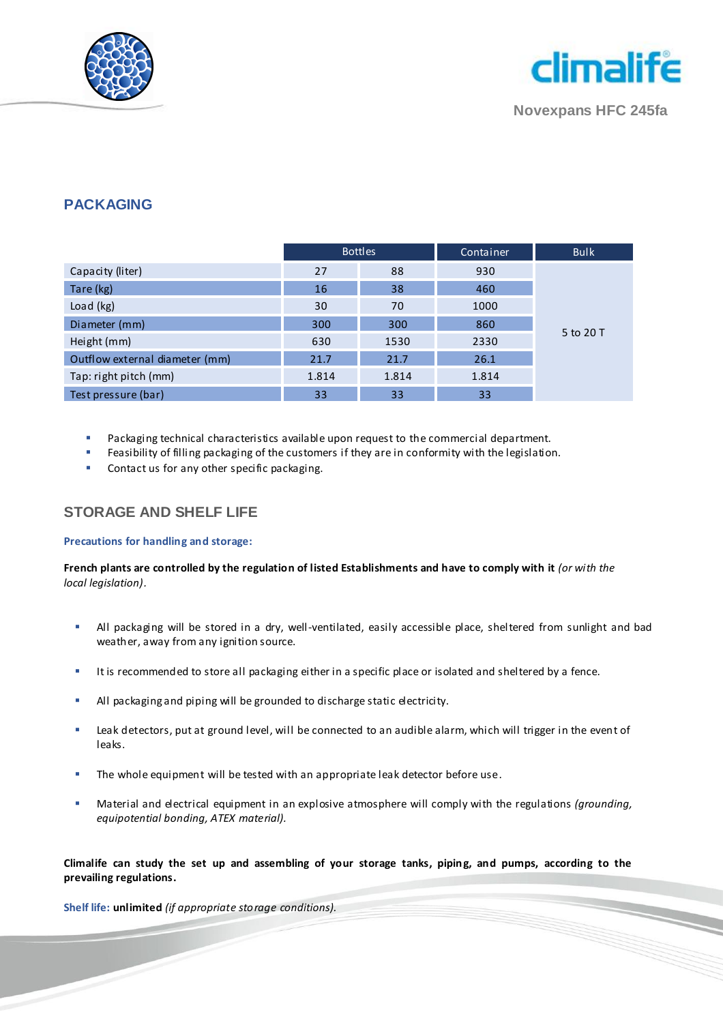



#### **PACKAGING**

|                                | <b>Bottles</b> |       | Container | <b>Bulk</b> |
|--------------------------------|----------------|-------|-----------|-------------|
| Capacity (liter)               | 27             | 88    | 930       |             |
| Tare (kg)                      | 16             | 38    | 460       |             |
| Load (kg)                      | 30             | 70    | 1000      | 5 to 20 T   |
| Diameter (mm)                  | 300            | 300   | 860       |             |
| Height (mm)                    | 630            | 1530  | 2330      |             |
| Outflow external diameter (mm) | 21.7           | 21.7  | 26.1      |             |
| Tap: right pitch (mm)          | 1.814          | 1.814 | 1.814     |             |
| Test pressure (bar)            | 33             | 33    | 33        |             |

- Packaging technical characteristics available upon request to the commercial department.
- Feasibility of filling packaging of the customers if they are in conformity with the legislation.
- Contact us for any other specific packaging.

#### **STORAGE AND SHELF LIFE**

#### **Precautions for handling and storage:**

**French plants are controlled by the regulation of listed Establishments and have to comply with it** *(or with the local legislation).*

- All packaging will be stored in a dry, well-ventilated, easily accessible place, sheltered from sunlight and bad weather, away from any ignition source.
- It is recommended to store all packaging either in a specific place or isolated and sheltered by a fence.
- All packaging and piping will be grounded to discharge static electricity.
- Leak detectors, put at ground level, will be connected to an audible alarm, which will trigger in the event of leaks.
- **The whole equipment will be tested with an appropriate leak detector before use.**
- Material and electrical equipment in an explosive atmosphere will comply with the regulations *(grounding, equipotential bonding, ATEX material).*

**Climalife can study the set up and assembling of your storage tanks, piping, and pumps, according to the prevailing regulations.**

**Shelf life: unlimited** *(if appropriate storage conditions).*